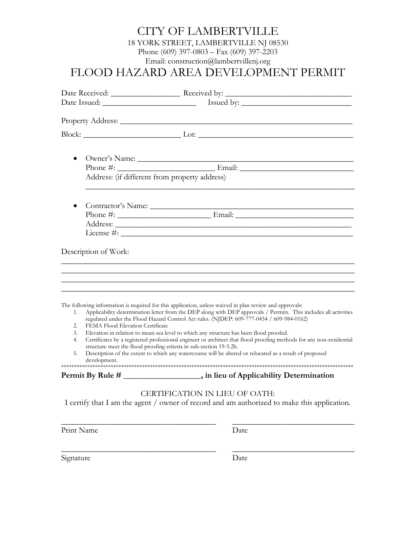## CITY OF LAMBERTVILLE

18 YORK STREET, LAMBERTVILLE NJ 08530

Phone (609) 397-0803 – Fax (609) 397-2203 Email: construction@lambertvillenj.org

## FLOOD HAZARD AREA DEVELOPMENT PERMIT

| $\bullet$  |                                                                                                                                                                                           |                                                                                                                                                                                                                             |  |
|------------|-------------------------------------------------------------------------------------------------------------------------------------------------------------------------------------------|-----------------------------------------------------------------------------------------------------------------------------------------------------------------------------------------------------------------------------|--|
|            | Address: (if different from property address)                                                                                                                                             |                                                                                                                                                                                                                             |  |
|            |                                                                                                                                                                                           |                                                                                                                                                                                                                             |  |
|            |                                                                                                                                                                                           |                                                                                                                                                                                                                             |  |
|            |                                                                                                                                                                                           |                                                                                                                                                                                                                             |  |
|            |                                                                                                                                                                                           |                                                                                                                                                                                                                             |  |
|            |                                                                                                                                                                                           |                                                                                                                                                                                                                             |  |
| 1.         |                                                                                                                                                                                           | The following information is required for this application, unless waived in plan review and approvals:<br>Applicability determination letter from the DEP along with DEP approvals / Permits. This includes all activities |  |
|            |                                                                                                                                                                                           | regulated under the Flood Hazard Control Act rules. (NJDEP: 609-777-0454 / 609-984-0162)                                                                                                                                    |  |
| 2.<br>3.   | FEMA Flood Elevation Certificate                                                                                                                                                          | Elevation in relation to mean sea level to which any structure has been flood proofed.                                                                                                                                      |  |
| 4.         | Certificates by a registered professional engineer or architect that flood proofing methods for any non-residential<br>structure meet the flood proofing criteria in sub-section 19-5.2b. |                                                                                                                                                                                                                             |  |
| 5.         | development.                                                                                                                                                                              | Description of the extent to which any watercourse will be altered or relocated as a result of proposed                                                                                                                     |  |
|            |                                                                                                                                                                                           | Permit By Rule # _____________________, in lieu of Applicability Determination                                                                                                                                              |  |
|            |                                                                                                                                                                                           |                                                                                                                                                                                                                             |  |
|            |                                                                                                                                                                                           | CERTIFICATION IN LIEU OF OATH:                                                                                                                                                                                              |  |
|            |                                                                                                                                                                                           | I certify that I am the agent / owner of record and am authorized to make this application.                                                                                                                                 |  |
| Print Name |                                                                                                                                                                                           | Date                                                                                                                                                                                                                        |  |

Signature Date

\_\_\_\_\_\_\_\_\_\_\_\_\_\_\_\_\_\_\_\_\_\_\_\_\_\_\_\_\_\_\_\_\_\_\_\_\_\_ \_\_\_\_\_\_\_\_\_\_\_\_\_\_\_\_\_\_\_\_\_\_\_\_\_\_\_\_\_\_